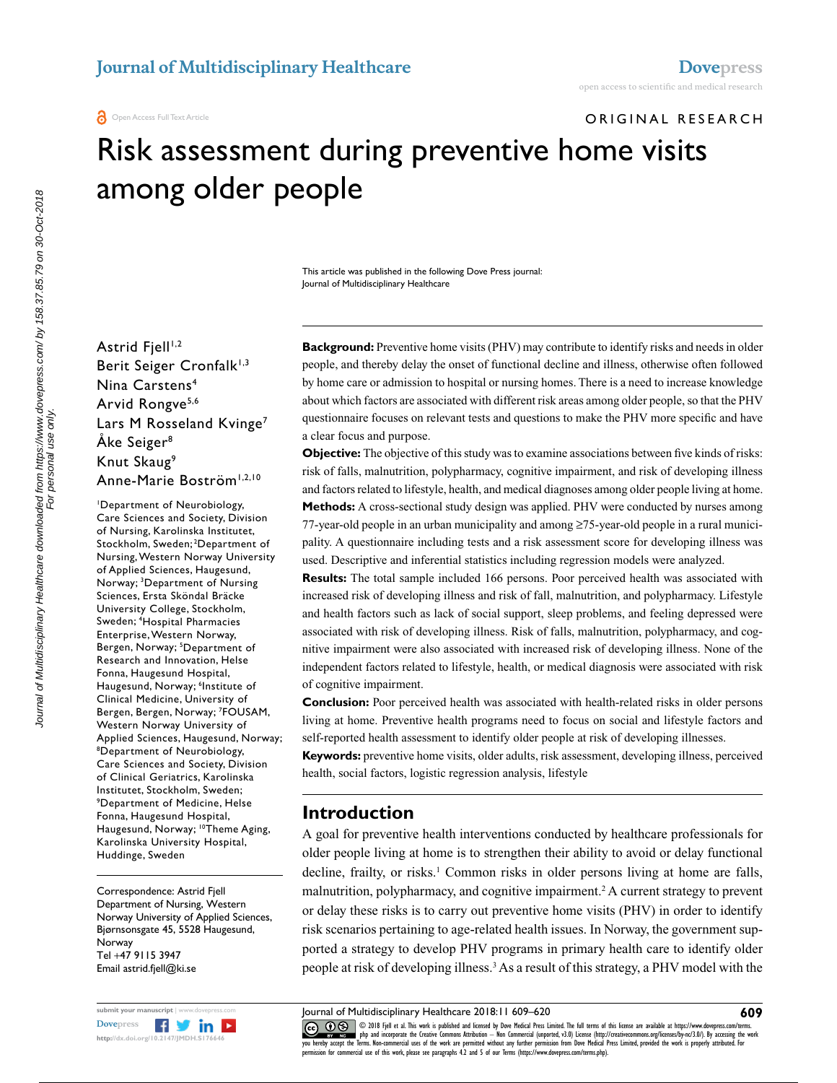#### **a** Open Access Full Text Article

ORIGINAL RESEARCH

# Risk assessment during preventive home visits among older people

This article was published in the following Dove Press journal: Journal of Multidisciplinary Healthcare

Astrid Fjell<sup>1,2</sup> Berit Seiger Cronfalk<sup>1,3</sup> Nina Carstens<sup>4</sup> Arvid Rongve<sup>5,6</sup> Lars M Rosseland Kvinge<sup>7</sup> Åke Seiger<sup>8</sup> Knut Skaug9 Anne-Marie Boström<sup>1,2,10</sup>

1 Department of Neurobiology, Care Sciences and Society, Division of Nursing, Karolinska Institutet, Stockholm, Sweden; 2Department of Nursing, Western Norway University of Applied Sciences, Haugesund, Norway; 3 Department of Nursing Sciences, Ersta Sköndal Bräcke University College, Stockholm, Sweden; 4 Hospital Pharmacies Enterprise, Western Norway, Bergen, Norway; <sup>5</sup>Department of Research and Innovation, Helse Fonna, Haugesund Hospital, Haugesund, Norway; <sup>6</sup>Institute of Clinical Medicine, University of Bergen, Bergen, Norway; 7 FOUSAM, Western Norway University of Applied Sciences, Haugesund, Norway; 8 Department of Neurobiology, Care Sciences and Society, Division of Clinical Geriatrics, Karolinska Institutet, Stockholm, Sweden; 9 Department of Medicine, Helse Fonna, Haugesund Hospital, Haugesund, Norway; <sup>10</sup>Theme Aging, Karolinska University Hospital, Huddinge, Sweden

Correspondence: Astrid Fjell Department of Nursing, Western Norway University of Applied Sciences, Bjørnsonsgate 45, 5528 Haugesund, Norway Tel +47 9115 3947 Email astrid.fjell@ki.se



Journal of Multidisciplinary Healthcare downloaded from https://www.dovepress.com/ by 158.37.85.79 on 30-Oct-2018 For personal use only.

Journal of Multidisciplinary Healthcare downloaded from https://www.dovepress.com/ by 158.37.85.79 on 30-Oct-2018<br>For personal use only.

**Background:** Preventive home visits (PHV) may contribute to identify risks and needs in older people, and thereby delay the onset of functional decline and illness, otherwise often followed by home care or admission to hospital or nursing homes. There is a need to increase knowledge about which factors are associated with different risk areas among older people, so that the PHV questionnaire focuses on relevant tests and questions to make the PHV more specific and have a clear focus and purpose.

**Objective:** The objective of this study was to examine associations between five kinds of risks: risk of falls, malnutrition, polypharmacy, cognitive impairment, and risk of developing illness and factors related to lifestyle, health, and medical diagnoses among older people living at home.

**Methods:** A cross-sectional study design was applied. PHV were conducted by nurses among 77-year-old people in an urban municipality and among ≥75-year-old people in a rural municipality. A questionnaire including tests and a risk assessment score for developing illness was used. Descriptive and inferential statistics including regression models were analyzed.

**Results:** The total sample included 166 persons. Poor perceived health was associated with increased risk of developing illness and risk of fall, malnutrition, and polypharmacy. Lifestyle and health factors such as lack of social support, sleep problems, and feeling depressed were associated with risk of developing illness. Risk of falls, malnutrition, polypharmacy, and cognitive impairment were also associated with increased risk of developing illness. None of the independent factors related to lifestyle, health, or medical diagnosis were associated with risk of cognitive impairment.

**Conclusion:** Poor perceived health was associated with health-related risks in older persons living at home. Preventive health programs need to focus on social and lifestyle factors and self-reported health assessment to identify older people at risk of developing illnesses.

**Keywords:** preventive home visits, older adults, risk assessment, developing illness, perceived health, social factors, logistic regression analysis, lifestyle

#### **Introduction**

A goal for preventive health interventions conducted by healthcare professionals for older people living at home is to strengthen their ability to avoid or delay functional decline, frailty, or risks.<sup>1</sup> Common risks in older persons living at home are falls, malnutrition, polypharmacy, and cognitive impairment.<sup>2</sup> A current strategy to prevent or delay these risks is to carry out preventive home visits (PHV) in order to identify risk scenarios pertaining to age-related health issues. In Norway, the government supported a strategy to develop PHV programs in primary health care to identify older people at risk of developing illness.<sup>3</sup> As a result of this strategy, a PHV model with the

CC COS CO18 Fjell et al. This work is published and licensed by Dove Medical Press Limited. The full terms of this license are available at https://www.dovepress.com/terms. www.com php and incorporate the Creative Commons Attribution — Non Commercial (unported, v3.0) License (http://creativecommons.org/licenses/by-nc/3.0/). By accessing the work<br>[you hereby accept the T](http://www.dovepress.com/permissions.php)erms. Non-commercial use permission for commercial use of this work, please see paragraphs 4.2 and 5 of our Terms (https://www.dovepress.com/terms.php). Journal of Multidisciplinary Healthcare 2018:11 609–620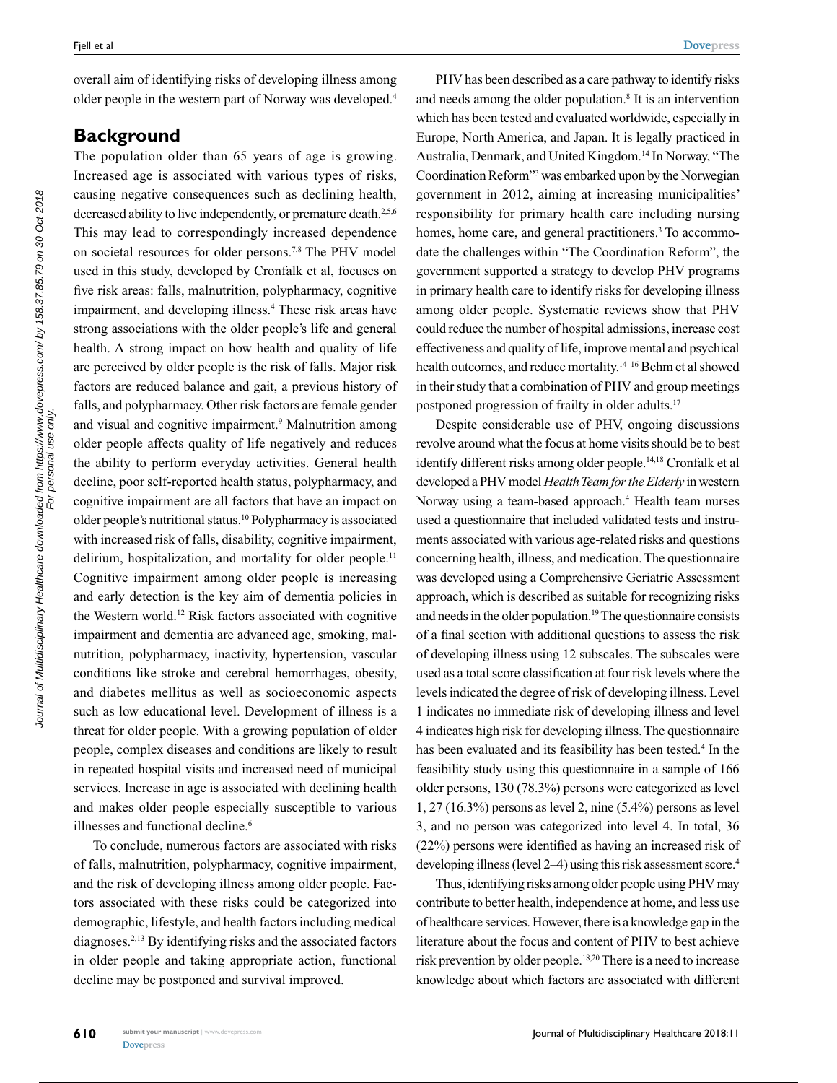overall aim of identifying risks of developing illness among older people in the western part of Norway was developed.4

## **Background**

The population older than 65 years of age is growing. Increased age is associated with various types of risks, causing negative consequences such as declining health, decreased ability to live independently, or premature death.<sup>2,5,6</sup> This may lead to correspondingly increased dependence on societal resources for older persons.7,8 The PHV model used in this study, developed by Cronfalk et al, focuses on five risk areas: falls, malnutrition, polypharmacy, cognitive impairment, and developing illness.<sup>4</sup> These risk areas have strong associations with the older people's life and general health. A strong impact on how health and quality of life are perceived by older people is the risk of falls. Major risk factors are reduced balance and gait, a previous history of falls, and polypharmacy. Other risk factors are female gender and visual and cognitive impairment.<sup>9</sup> Malnutrition among older people affects quality of life negatively and reduces the ability to perform everyday activities. General health decline, poor self-reported health status, polypharmacy, and cognitive impairment are all factors that have an impact on older people's nutritional status.10 Polypharmacy is associated with increased risk of falls, disability, cognitive impairment, delirium, hospitalization, and mortality for older people.<sup>11</sup> Cognitive impairment among older people is increasing and early detection is the key aim of dementia policies in the Western world.12 Risk factors associated with cognitive impairment and dementia are advanced age, smoking, malnutrition, polypharmacy, inactivity, hypertension, vascular conditions like stroke and cerebral hemorrhages, obesity, and diabetes mellitus as well as socioeconomic aspects such as low educational level. Development of illness is a threat for older people. With a growing population of older people, complex diseases and conditions are likely to result in repeated hospital visits and increased need of municipal services. Increase in age is associated with declining health and makes older people especially susceptible to various illnesses and functional decline.<sup>6</sup>

To conclude, numerous factors are associated with risks of falls, malnutrition, polypharmacy, cognitive impairment, and the risk of developing illness among older people. Factors associated with these risks could be categorized into demographic, lifestyle, and health factors including medical diagnoses.2,13 By identifying risks and the associated factors in older people and taking appropriate action, functional decline may be postponed and survival improved.

PHV has been described as a care pathway to identify risks and needs among the older population.<sup>8</sup> It is an intervention which has been tested and evaluated worldwide, especially in Europe, North America, and Japan. It is legally practiced in Australia, Denmark, and United Kingdom.14 In Norway, "The Coordination Reform"3 was embarked upon by the Norwegian government in 2012, aiming at increasing municipalities' responsibility for primary health care including nursing homes, home care, and general practitioners.<sup>3</sup> To accommodate the challenges within "The Coordination Reform", the government supported a strategy to develop PHV programs in primary health care to identify risks for developing illness among older people. Systematic reviews show that PHV could reduce the number of hospital admissions, increase cost effectiveness and quality of life, improve mental and psychical health outcomes, and reduce mortality.<sup>14-16</sup> Behm et al showed in their study that a combination of PHV and group meetings postponed progression of frailty in older adults.<sup>17</sup>

Despite considerable use of PHV, ongoing discussions revolve around what the focus at home visits should be to best identify different risks among older people.<sup>14,18</sup> Cronfalk et al developed a PHV model *Health Team for the Elderly* in western Norway using a team-based approach.<sup>4</sup> Health team nurses used a questionnaire that included validated tests and instruments associated with various age-related risks and questions concerning health, illness, and medication. The questionnaire was developed using a Comprehensive Geriatric Assessment approach, which is described as suitable for recognizing risks and needs in the older population.19 The questionnaire consists of a final section with additional questions to assess the risk of developing illness using 12 subscales. The subscales were used as a total score classification at four risk levels where the levels indicated the degree of risk of developing illness. Level 1 indicates no immediate risk of developing illness and level 4 indicates high risk for developing illness. The questionnaire has been evaluated and its feasibility has been tested.<sup>4</sup> In the feasibility study using this questionnaire in a sample of 166 older persons, 130 (78.3%) persons were categorized as level 1, 27 (16.3%) persons as level 2, nine (5.4%) persons as level 3, and no person was categorized into level 4. In total, 36 (22%) persons were identified as having an increased risk of developing illness (level 2–4) using this risk assessment score.<sup>4</sup>

Thus, identifying risks among older people using PHV may contribute to better health, independence at home, and less use of healthcare services. However, there is a knowledge gap in the literature about the focus and content of PHV to best achieve risk prevention by older people.18,20 There is a need to increase knowledge about which factors are associated with different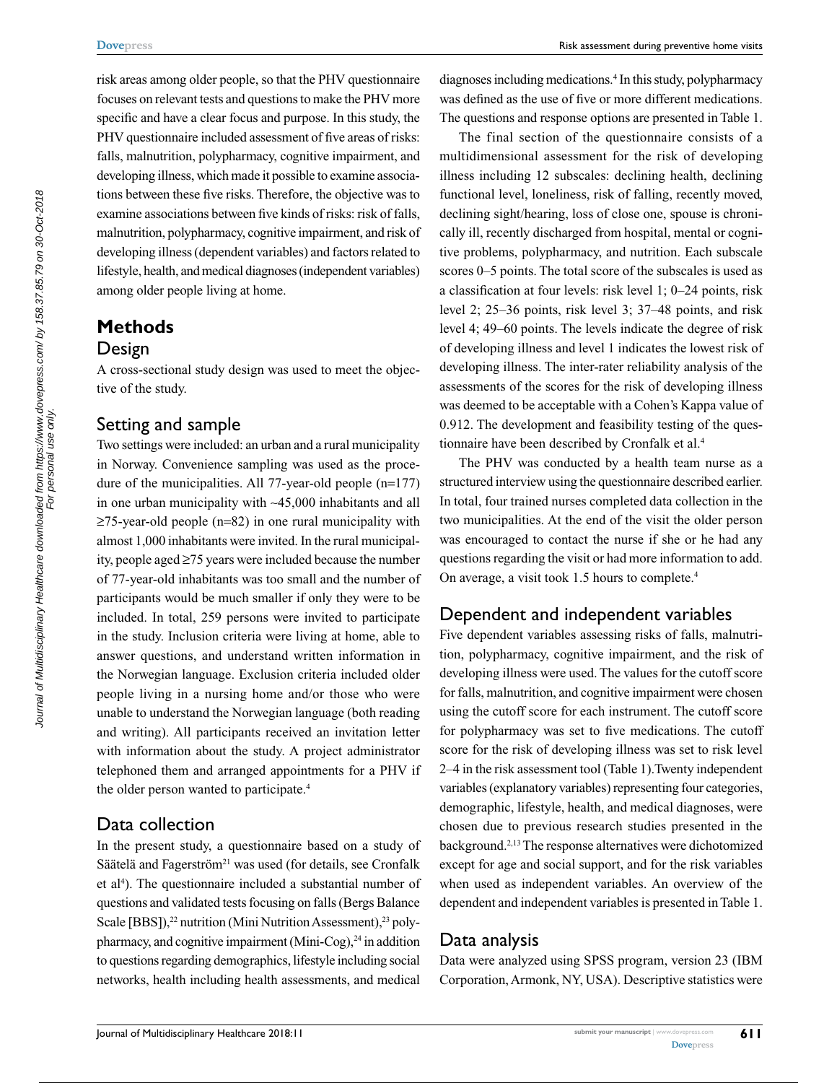risk areas among older people, so that the PHV questionnaire focuses on relevant tests and questions to make the PHV more specific and have a clear focus and purpose. In this study, the PHV questionnaire included assessment of five areas of risks: falls, malnutrition, polypharmacy, cognitive impairment, and developing illness, which made it possible to examine associations between these five risks. Therefore, the objective was to examine associations between five kinds of risks: risk of falls, malnutrition, polypharmacy, cognitive impairment, and risk of developing illness (dependent variables) and factors related to lifestyle, health, and medical diagnoses (independent variables) among older people living at home.

#### **Methods** Design

A cross-sectional study design was used to meet the objective of the study.

#### Setting and sample

Two settings were included: an urban and a rural municipality in Norway. Convenience sampling was used as the procedure of the municipalities. All 77-year-old people (n=177) in one urban municipality with ~45,000 inhabitants and all  $\geq$ 75-year-old people (n=82) in one rural municipality with almost 1,000 inhabitants were invited. In the rural municipality, people aged ≥75 years were included because the number of 77-year-old inhabitants was too small and the number of participants would be much smaller if only they were to be included. In total, 259 persons were invited to participate in the study. Inclusion criteria were living at home, able to answer questions, and understand written information in the Norwegian language. Exclusion criteria included older people living in a nursing home and/or those who were unable to understand the Norwegian language (both reading and writing). All participants received an invitation letter with information about the study. A project administrator telephoned them and arranged appointments for a PHV if the older person wanted to participate.<sup>4</sup>

## Data collection

In the present study, a questionnaire based on a study of Säätelä and Fagerström<sup>21</sup> was used (for details, see Cronfalk et al<sup>4</sup>). The questionnaire included a substantial number of questions and validated tests focusing on falls (Bergs Balance Scale [BBS]),<sup>22</sup> nutrition (Mini Nutrition Assessment),<sup>23</sup> polypharmacy, and cognitive impairment (Mini-Cog), $^{24}$  in addition to questions regarding demographics, lifestyle including social networks, health including health assessments, and medical

diagnoses including medications.<sup>4</sup> In this study, polypharmacy was defined as the use of five or more different medications. The questions and response options are presented in Table 1.

The final section of the questionnaire consists of a multidimensional assessment for the risk of developing illness including 12 subscales: declining health, declining functional level, loneliness, risk of falling, recently moved, declining sight/hearing, loss of close one, spouse is chronically ill, recently discharged from hospital, mental or cognitive problems, polypharmacy, and nutrition. Each subscale scores 0–5 points. The total score of the subscales is used as a classification at four levels: risk level 1; 0–24 points, risk level 2; 25–36 points, risk level 3; 37–48 points, and risk level 4; 49–60 points. The levels indicate the degree of risk of developing illness and level 1 indicates the lowest risk of developing illness. The inter-rater reliability analysis of the assessments of the scores for the risk of developing illness was deemed to be acceptable with a Cohen's Kappa value of 0.912. The development and feasibility testing of the questionnaire have been described by Cronfalk et al.4

The PHV was conducted by a health team nurse as a structured interview using the questionnaire described earlier. In total, four trained nurses completed data collection in the two municipalities. At the end of the visit the older person was encouraged to contact the nurse if she or he had any questions regarding the visit or had more information to add. On average, a visit took 1.5 hours to complete.4

# Dependent and independent variables

Five dependent variables assessing risks of falls, malnutrition, polypharmacy, cognitive impairment, and the risk of developing illness were used. The values for the cutoff score for falls, malnutrition, and cognitive impairment were chosen using the cutoff score for each instrument. The cutoff score for polypharmacy was set to five medications. The cutoff score for the risk of developing illness was set to risk level 2–4 in the risk assessment tool (Table 1).Twenty independent variables (explanatory variables) representing four categories, demographic, lifestyle, health, and medical diagnoses, were chosen due to previous research studies presented in the background.2,13 The response alternatives were dichotomized except for age and social support, and for the risk variables when used as independent variables. An overview of the dependent and independent variables is presented in Table 1.

# Data analysis

Data were analyzed using SPSS program, version 23 (IBM Corporation, Armonk, NY, USA). Descriptive statistics were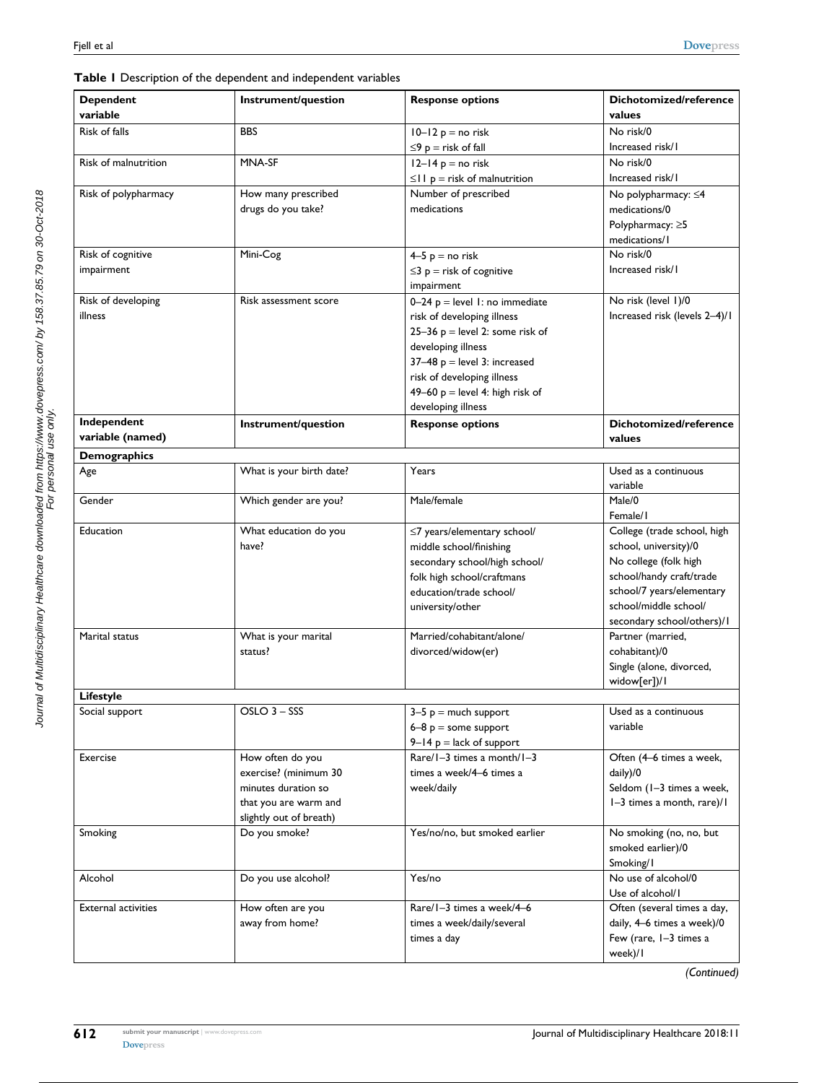#### **Table 1** Description of the dependent and independent variables

| <b>Dependent</b><br>variable | Instrument/question      | <b>Response options</b>             | Dichotomized/reference<br>values |
|------------------------------|--------------------------|-------------------------------------|----------------------------------|
| Risk of falls                | <b>BBS</b>               | $10-12$ p = no risk                 | No risk/0                        |
|                              |                          | $\leq$ 9 p = risk of fall           | Increased risk/1                 |
| Risk of malnutrition         | MNA-SF                   | $12-14 p = no risk$                 | No risk/0                        |
|                              |                          | $\leq$     p = risk of malnutrition | Increased risk/1                 |
| Risk of polypharmacy         | How many prescribed      | Number of prescribed                | No polypharmacy: ≤4              |
|                              | drugs do you take?       | medications                         | medications/0                    |
|                              |                          |                                     | Polypharmacy: $\geq$ 5           |
|                              |                          |                                     | medications/1                    |
| Risk of cognitive            | Mini-Cog                 | $4-5$ p = no risk                   | No risk/0                        |
| impairment                   |                          | $\leq$ 3 p = risk of cognitive      | Increased risk/I                 |
|                              |                          | impairment                          |                                  |
| Risk of developing           | Risk assessment score    | $0-24$ p = level 1: no immediate    | No risk (level 1)/0              |
| illness                      |                          | risk of developing illness          | Increased risk (levels 2-4)/1    |
|                              |                          | 25-36 $p = level 2$ : some risk of  |                                  |
|                              |                          | developing illness                  |                                  |
|                              |                          | 37-48 $p = level$ 3: increased      |                                  |
|                              |                          | risk of developing illness          |                                  |
|                              |                          | 49-60 $p = level 4$ : high risk of  |                                  |
|                              |                          | developing illness                  |                                  |
| Independent                  | Instrument/question      | <b>Response options</b>             | Dichotomized/reference           |
| variable (named)             |                          |                                     | values                           |
| <b>Demographics</b>          |                          |                                     |                                  |
| Age                          | What is your birth date? | Years                               | Used as a continuous             |
|                              |                          |                                     | variable                         |
| Gender                       | Which gender are you?    | Male/female                         | Male/0                           |
|                              |                          |                                     | Female/1                         |
| Education                    | What education do you    | ≤7 years/elementary school/         | College (trade school, high      |
|                              | have?                    | middle school/finishing             | school, university)/0            |
|                              |                          | secondary school/high school/       | No college (folk high            |
|                              |                          | folk high school/craftmans          | school/handy craft/trade         |
|                              |                          | education/trade school/             | school/7 years/elementary        |
|                              |                          | university/other                    | school/middle school/            |
|                              |                          |                                     | secondary school/others)/1       |
| Marital status               | What is your marital     | Married/cohabitant/alone/           | Partner (married,                |
|                              | status?                  | divorced/widow(er)                  | cohabitant)/0                    |
|                              |                          |                                     | Single (alone, divorced,         |
|                              |                          |                                     | widow[er])/l                     |
| Lifestyle                    |                          |                                     |                                  |
| Social support               | OSLO 3 - SSS             | $3-5$ p = much support              | Used as a continuous             |
|                              |                          | $6-8$ p = some support              | variable                         |
|                              |                          | $9-14$ p = lack of support          |                                  |
| <b>Exercise</b>              | How often do you         | Rare/1-3 times a month/1-3          | Often (4-6 times a week,         |
|                              | exercise? (minimum 30    | times a week/4-6 times a            | daily)/0                         |
|                              | minutes duration so      | week/daily                          | Seldom (1-3 times a week,        |
|                              | that you are warm and    |                                     | I-3 times a month, rare)/I       |
|                              | slightly out of breath)  |                                     |                                  |
| Smoking                      | Do you smoke?            | Yes/no/no, but smoked earlier       | No smoking (no, no, but          |
|                              |                          |                                     | smoked earlier)/0                |
|                              |                          |                                     | Smoking/1                        |
| Alcohol                      | Do you use alcohol?      | Yes/no                              | No use of alcohol/0              |
|                              |                          |                                     | Use of alcohol/1                 |
| <b>External activities</b>   | How often are you        | Rare/1-3 times a week/4-6           | Often (several times a day,      |
|                              | away from home?          | times a week/daily/several          | daily, 4-6 times a week)/0       |
|                              |                          | times a day                         | Few (rare, I-3 times a           |
|                              |                          |                                     | week)/1                          |

*(Continued)*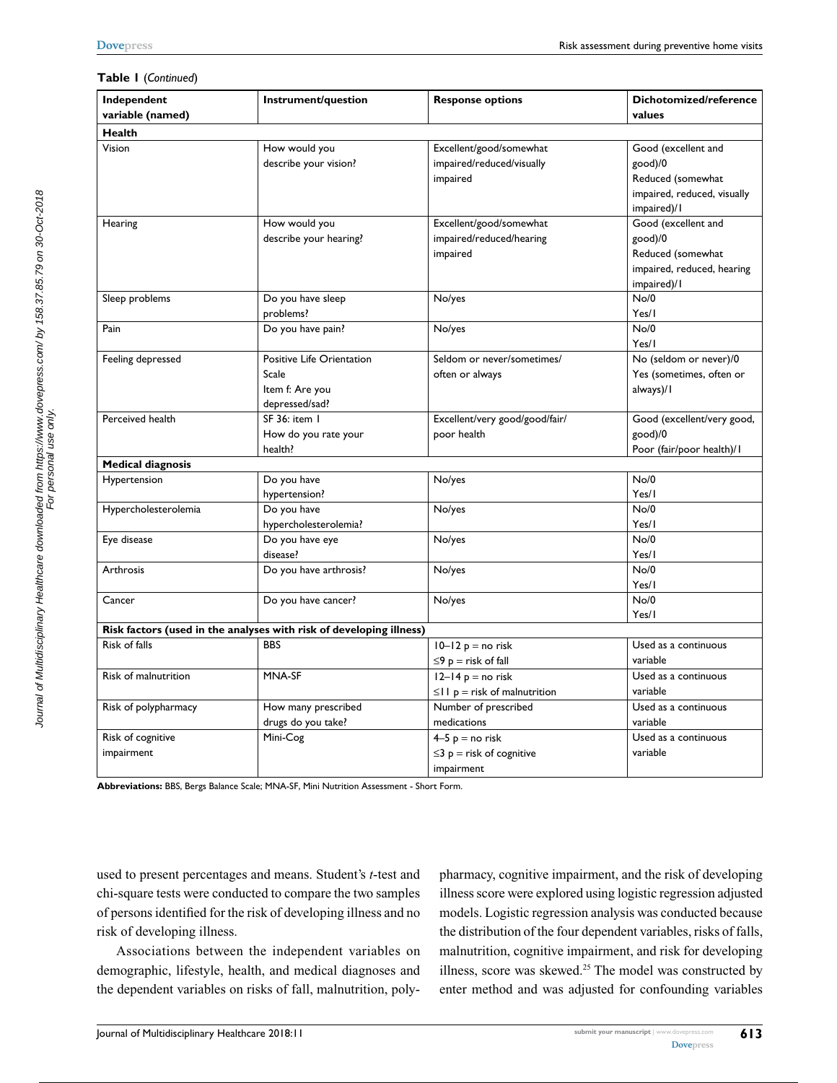#### **Table 1** (*Continued*)

| Independent                 | Instrument/question                                                 | <b>Response options</b>             | Dichotomized/reference      |
|-----------------------------|---------------------------------------------------------------------|-------------------------------------|-----------------------------|
| variable (named)            |                                                                     |                                     | values                      |
| Health                      |                                                                     |                                     |                             |
| Vision                      | How would you                                                       | Excellent/good/somewhat             | Good (excellent and         |
|                             | describe your vision?                                               | impaired/reduced/visually           | good)/0                     |
|                             |                                                                     | impaired                            | Reduced (somewhat           |
|                             |                                                                     |                                     | impaired, reduced, visually |
|                             |                                                                     |                                     | impaired)/1                 |
| Hearing                     | How would you                                                       | Excellent/good/somewhat             | Good (excellent and         |
|                             | describe your hearing?                                              | impaired/reduced/hearing            | good)/0                     |
|                             |                                                                     | impaired                            | Reduced (somewhat           |
|                             |                                                                     |                                     | impaired, reduced, hearing  |
|                             |                                                                     |                                     | impaired)/1                 |
| Sleep problems              | Do you have sleep                                                   | No/yes                              | No/0                        |
|                             | problems?                                                           |                                     | Yes/1                       |
| Pain                        | Do you have pain?                                                   | No/yes                              | No/0                        |
|                             |                                                                     |                                     | Yes/I                       |
| Feeling depressed           | Positive Life Orientation                                           | Seldom or never/sometimes/          | No (seldom or never)/0      |
|                             | <b>Scale</b>                                                        | often or always                     | Yes (sometimes, often or    |
|                             | Item f: Are you                                                     |                                     | always)/1                   |
|                             | depressed/sad?                                                      |                                     |                             |
| Perceived health            | SF 36: item 1                                                       | Excellent/very good/good/fair/      | Good (excellent/very good,  |
|                             | How do you rate your                                                | poor health                         | good)/0                     |
|                             | health?                                                             |                                     | Poor (fair/poor health)/1   |
| Medical diagnosis           |                                                                     |                                     |                             |
| Hypertension                | Do you have                                                         | No/yes                              | No/0                        |
|                             | hypertension?                                                       |                                     | Yes/I                       |
| Hypercholesterolemia        | Do you have                                                         | No/yes                              | No/0                        |
|                             | hypercholesterolemia?                                               |                                     | Yes/I                       |
| Eye disease                 | Do you have eye                                                     | No/yes                              | No/0                        |
|                             | disease?                                                            |                                     | Yes/I                       |
| Arthrosis                   | Do you have arthrosis?                                              | No/yes                              | No/0                        |
|                             |                                                                     |                                     | Yes/I                       |
| Cancer                      | Do you have cancer?                                                 | No/yes                              | No/0                        |
|                             |                                                                     |                                     | Yes/I                       |
|                             | Risk factors (used in the analyses with risk of developing illness) |                                     |                             |
| Risk of falls               | <b>BBS</b>                                                          | $10-12$ p = no risk                 | Used as a continuous        |
|                             |                                                                     | $\leq$ 9 p = risk of fall           | variable                    |
| <b>Risk of malnutrition</b> | MNA-SF                                                              | $12-14 p = no risk$                 | Used as a continuous        |
|                             |                                                                     | $\leq$     p = risk of malnutrition | variable                    |
| Risk of polypharmacy        | How many prescribed                                                 | Number of prescribed                | Used as a continuous        |
|                             | drugs do you take?                                                  | medications                         | variable                    |
| Risk of cognitive           | Mini-Cog                                                            | $4-5$ p = no risk                   | Used as a continuous        |
| impairment                  |                                                                     | $\leq$ 3 p = risk of cognitive      | variable                    |
|                             |                                                                     | impairment                          |                             |

**Abbreviations:** BBS, Bergs Balance Scale; MNA-SF, Mini Nutrition Assessment - Short Form.

used to present percentages and means. Student's *t*-test and chi-square tests were conducted to compare the two samples of persons identified for the risk of developing illness and no risk of developing illness.

Associations between the independent variables on demographic, lifestyle, health, and medical diagnoses and the dependent variables on risks of fall, malnutrition, polypharmacy, cognitive impairment, and the risk of developing illness score were explored using logistic regression adjusted models. Logistic regression analysis was conducted because the distribution of the four dependent variables, risks of falls, malnutrition, cognitive impairment, and risk for developing illness, score was skewed.<sup>25</sup> The model was constructed by enter method and was adjusted for confounding variables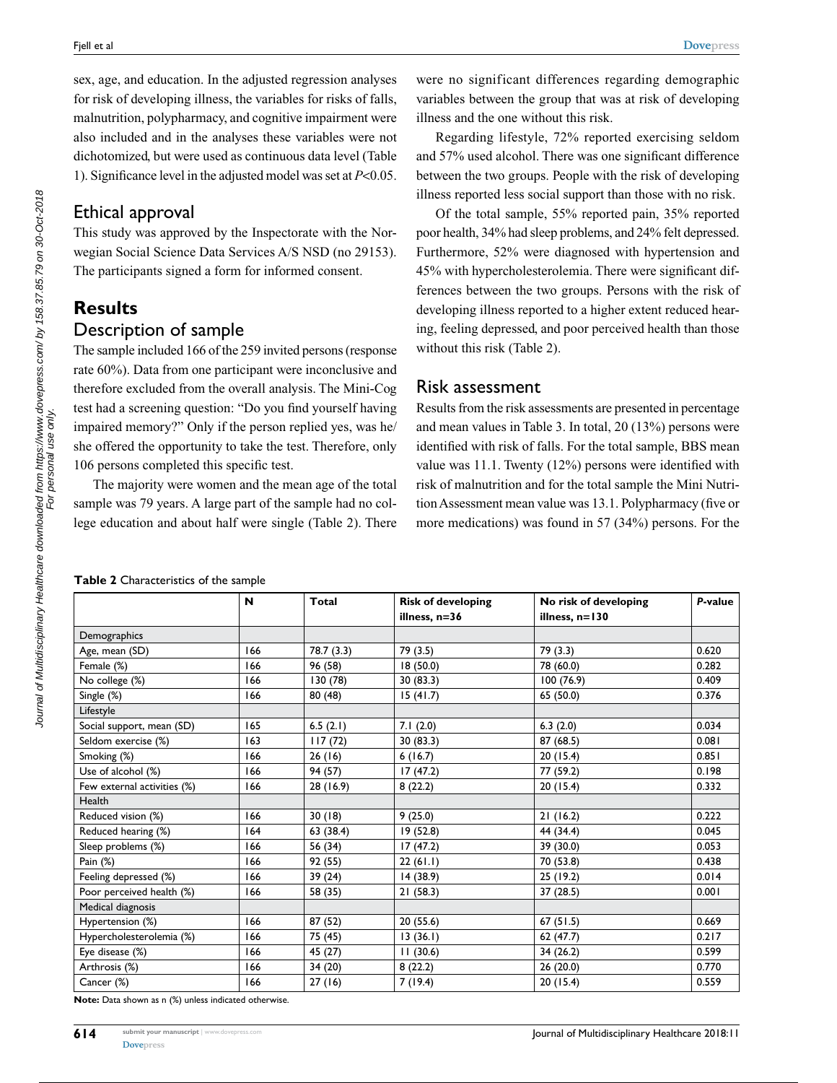sex, age, and education. In the adjusted regression analyses for risk of developing illness, the variables for risks of falls, malnutrition, polypharmacy, and cognitive impairment were also included and in the analyses these variables were not dichotomized, but were used as continuous data level (Table 1). Significance level in the adjusted model was set at *P*<0.05.

# Ethical approval

This study was approved by the Inspectorate with the Norwegian Social Science Data Services A/S NSD (no 29153). The participants signed a form for informed consent.

# **Results**

lournal of Multidisciplinary Healthcare downloaded from https://www.dovepress.com/ by 158.37.85.79 on 30-Oct-2018<br>For personal use only. Journal of Multidisciplinary Healthcare downloaded from https://www.dovepress.com/ by 158.37.85.79 on 30-Oct-2018 For personal use only.

#### Description of sample

The sample included 166 of the 259 invited persons (response rate 60%). Data from one participant were inconclusive and therefore excluded from the overall analysis. The Mini-Cog test had a screening question: "Do you find yourself having impaired memory?" Only if the person replied yes, was he/ she offered the opportunity to take the test. Therefore, only 106 persons completed this specific test.

The majority were women and the mean age of the total sample was 79 years. A large part of the sample had no college education and about half were single (Table 2). There

were no significant differences regarding demographic variables between the group that was at risk of developing illness and the one without this risk.

Regarding lifestyle, 72% reported exercising seldom and 57% used alcohol. There was one significant difference between the two groups. People with the risk of developing illness reported less social support than those with no risk.

Of the total sample, 55% reported pain, 35% reported poor health, 34% had sleep problems, and 24% felt depressed. Furthermore, 52% were diagnosed with hypertension and 45% with hypercholesterolemia. There were significant differences between the two groups. Persons with the risk of developing illness reported to a higher extent reduced hearing, feeling depressed, and poor perceived health than those without this risk (Table 2).

#### Risk assessment

Results from the risk assessments are presented in percentage and mean values in Table 3. In total, 20 (13%) persons were identified with risk of falls. For the total sample, BBS mean value was 11.1. Twenty (12%) persons were identified with risk of malnutrition and for the total sample the Mini Nutrition Assessment mean value was 13.1. Polypharmacy (five or more medications) was found in 57 (34%) persons. For the

|                             | N   | <b>Total</b> | <b>Risk of developing</b><br>illness, n=36 | No risk of developing<br>illness, n=130 | P-value |
|-----------------------------|-----|--------------|--------------------------------------------|-----------------------------------------|---------|
| Demographics                |     |              |                                            |                                         |         |
| Age, mean (SD)              | 166 | 78.7 (3.3)   | 79 (3.5)                                   | 79 (3.3)                                | 0.620   |
| Female (%)                  | 166 | 96 (58)      | 18 (50.0)                                  | 78 (60.0)                               | 0.282   |
| No college (%)              | 166 | 130(78)      | 30(83.3)                                   | 100(76.9)                               | 0.409   |
| Single (%)                  | 166 | 80 (48)      | 15(41.7)                                   | 65 (50.0)                               | 0.376   |
| Lifestyle                   |     |              |                                            |                                         |         |
| Social support, mean (SD)   | 165 | 6.5(2.1)     | 7.1(2.0)                                   | 6.3(2.0)                                | 0.034   |
| Seldom exercise (%)         | 163 | 117(72)      | 30(83.3)                                   | 87 (68.5)                               | 0.081   |
| Smoking (%)                 | 166 | 26(16)       | 6(16.7)                                    | 20(15.4)                                | 0.851   |
| Use of alcohol (%)          | 166 | 94 (57)      | 17(47.2)                                   | 77 (59.2)                               | 0.198   |
| Few external activities (%) | 166 | 28 (16.9)    | 8(22.2)                                    | 20(15.4)                                | 0.332   |
| Health                      |     |              |                                            |                                         |         |
| Reduced vision (%)          | 166 | 30(18)       | 9(25.0)                                    | 21(16.2)                                | 0.222   |
| Reduced hearing (%)         | 164 | 63 (38.4)    | 19(52.8)                                   | 44 (34.4)                               | 0.045   |
| Sleep problems (%)          | 166 | 56 (34)      | 17(47.2)                                   | 39 (30.0)                               | 0.053   |
| Pain $(\%)$                 | 166 | 92 (55)      | 22(61.1)                                   | 70 (53.8)                               | 0.438   |
| Feeling depressed (%)       | 166 | 39 (24)      | 14(38.9)                                   | 25(19.2)                                | 0.014   |
| Poor perceived health (%)   | 166 | 58 (35)      | 21(58.3)                                   | 37 (28.5)                               | 0.001   |
| Medical diagnosis           |     |              |                                            |                                         |         |
| Hypertension (%)            | 166 | 87 (52)      | 20(55.6)                                   | 67(51.5)                                | 0.669   |
| Hypercholesterolemia (%)    | 166 | 75 (45)      | 13(36.1)                                   | 62(47.7)                                | 0.217   |
| Eye disease (%)             | 166 | 45 (27)      | 11(30.6)                                   | 34 (26.2)                               | 0.599   |
| Arthrosis (%)               | 166 | 34 (20)      | 8(22.2)                                    | 26 (20.0)                               | 0.770   |
| Cancer (%)                  | 166 | 27(16)       | 7(19.4)                                    | 20(15.4)                                | 0.559   |

**Note:** Data shown as n (%) unless indicated otherwise.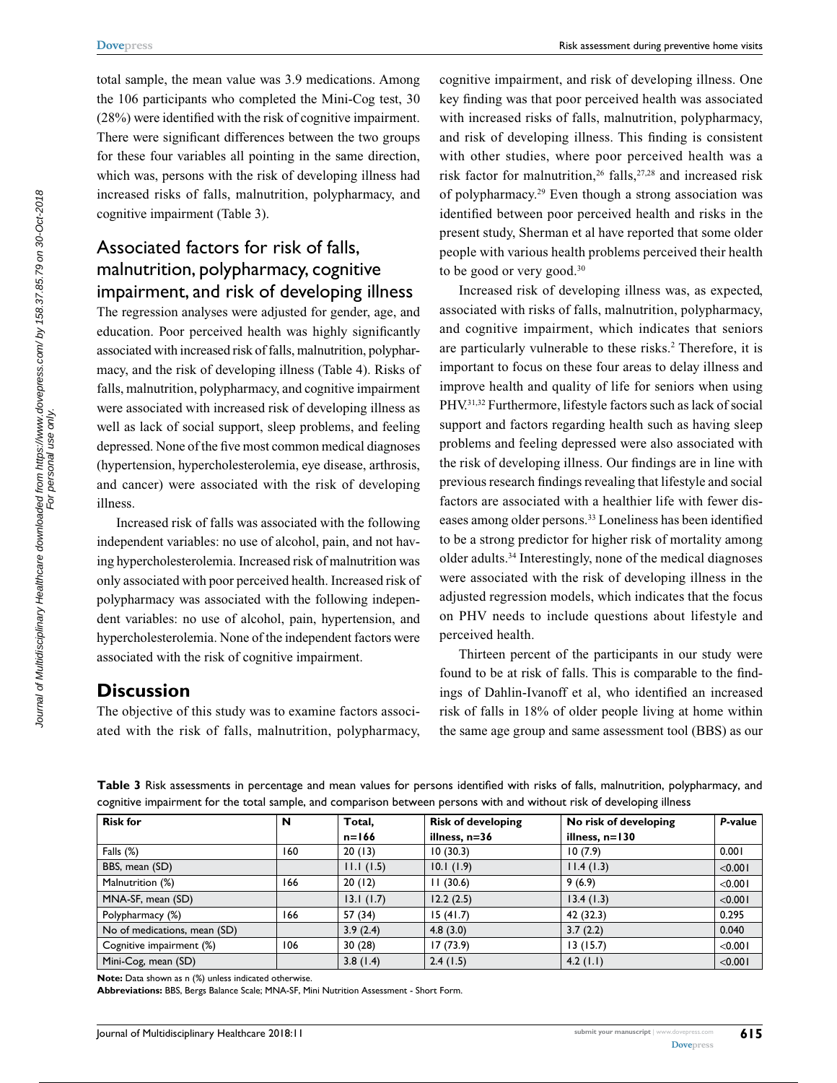total sample, the mean value was 3.9 medications. Among the 106 participants who completed the Mini-Cog test, 30 (28%) were identified with the risk of cognitive impairment. There were significant differences between the two groups for these four variables all pointing in the same direction, which was, persons with the risk of developing illness had increased risks of falls, malnutrition, polypharmacy, and cognitive impairment (Table 3).

# Associated factors for risk of falls, malnutrition, polypharmacy, cognitive impairment, and risk of developing illness

The regression analyses were adjusted for gender, age, and education. Poor perceived health was highly significantly associated with increased risk of falls, malnutrition, polypharmacy, and the risk of developing illness (Table 4). Risks of falls, malnutrition, polypharmacy, and cognitive impairment were associated with increased risk of developing illness as well as lack of social support, sleep problems, and feeling depressed. None of the five most common medical diagnoses (hypertension, hypercholesterolemia, eye disease, arthrosis, and cancer) were associated with the risk of developing illness.

Increased risk of falls was associated with the following independent variables: no use of alcohol, pain, and not having hypercholesterolemia. Increased risk of malnutrition was only associated with poor perceived health. Increased risk of polypharmacy was associated with the following independent variables: no use of alcohol, pain, hypertension, and hypercholesterolemia. None of the independent factors were associated with the risk of cognitive impairment.

## **Discussion**

The objective of this study was to examine factors associated with the risk of falls, malnutrition, polypharmacy, cognitive impairment, and risk of developing illness. One key finding was that poor perceived health was associated with increased risks of falls, malnutrition, polypharmacy, and risk of developing illness. This finding is consistent with other studies, where poor perceived health was a risk factor for malnutrition,<sup>26</sup> falls,<sup>27,28</sup> and increased risk of polypharmacy.29 Even though a strong association was identified between poor perceived health and risks in the present study, Sherman et al have reported that some older people with various health problems perceived their health to be good or very good.<sup>30</sup>

Increased risk of developing illness was, as expected, associated with risks of falls, malnutrition, polypharmacy, and cognitive impairment, which indicates that seniors are particularly vulnerable to these risks.<sup>2</sup> Therefore, it is important to focus on these four areas to delay illness and improve health and quality of life for seniors when using PHV.31,32 Furthermore, lifestyle factors such as lack of social support and factors regarding health such as having sleep problems and feeling depressed were also associated with the risk of developing illness. Our findings are in line with previous research findings revealing that lifestyle and social factors are associated with a healthier life with fewer diseases among older persons.33 Loneliness has been identified to be a strong predictor for higher risk of mortality among older adults.34 Interestingly, none of the medical diagnoses were associated with the risk of developing illness in the adjusted regression models, which indicates that the focus on PHV needs to include questions about lifestyle and perceived health.

Thirteen percent of the participants in our study were found to be at risk of falls. This is comparable to the findings of Dahlin-Ivanoff et al, who identified an increased risk of falls in 18% of older people living at home within the same age group and same assessment tool (BBS) as our

**Risk for N Total, n=166 Risk of developing illness, n=36 No risk of developing illness, n=130** *P***-value** Falls (%) 160 20 (13) 10 (30.3) 10 (7.9) 0.001 BBS, mean (SD) 11.1 (1.5) 10.1 (1.9) 11.4 (1.3) <0.001 Malnutrition (%) | 166 | 20 (12) | 11 (30.6) | 9 (6.9) | <0.001 MNA-SF, mean (SD) 13.1 (1.7) 12.2 (2.5) 13.4 (1.3) 20.001 Polypharmacy (%) 166 57 (34) 15 (41.7) 42 (32.3) 10.295 No of medications, mean (SD)  $\begin{array}{|c|c|c|c|c|c|}\n\hline\n&3.9 & (2.4) & 4.8 & (3.0) & 3.7 & (2.2) & 0.040\n\end{array}$ 

Cognitive impairment (%) 106 30 (28) 17 (73.9) 13 (15.7) <0.001 Mini-Cog, mean (SD)  $3.8(1.4)$  2.4 (1.5)  $4.2(1.1)$   $\leq 0.001$ 

**Table 3** Risk assessments in percentage and mean values for persons identified with risks of falls, malnutrition, polypharmacy, and cognitive impairment for the total sample, and comparison between persons with and without risk of developing illness

**Note:** Data shown as n (%) unless indicated otherwise.

**Abbreviations:** BBS, Bergs Balance Scale; MNA-SF, Mini Nutrition Assessment - Short Form.

For personal use only.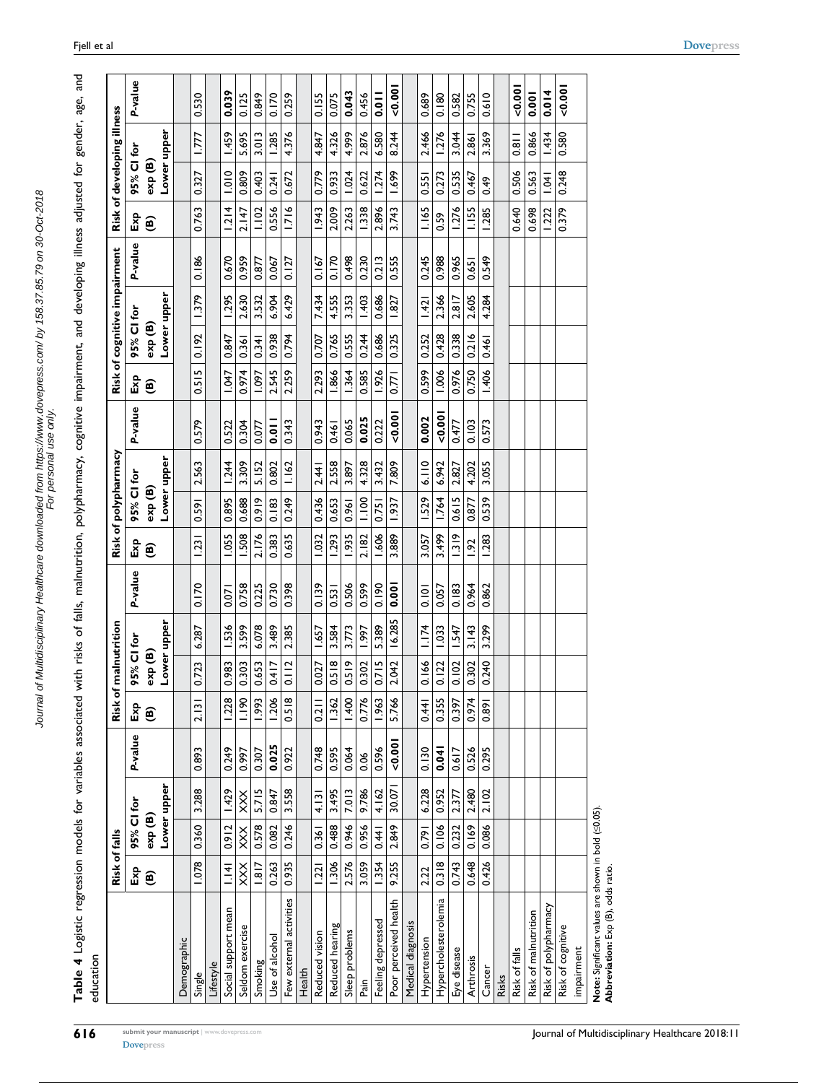Fjell et al

| Table 4 Logistic regression models for variables associated with risks of falls, malnutrition, polypharmacy, cognitive impairment, and developing illness adjusted for gender, age, and<br>education |                                 |                      |               |               |          |                      |        |                    |                           |                      |                      |         |                             |                      |                              |         |       |                            |       |               |
|------------------------------------------------------------------------------------------------------------------------------------------------------------------------------------------------------|---------------------------------|----------------------|---------------|---------------|----------|----------------------|--------|--------------------|---------------------------|----------------------|----------------------|---------|-----------------------------|----------------------|------------------------------|---------|-------|----------------------------|-------|---------------|
|                                                                                                                                                                                                      | Risk of falls                   |                      |               |               | Risk of  | malnutrition         |        |                    |                           |                      | Risk of polypharmacy |         |                             |                      | Risk of cognitive impairment |         |       | Risk of developing illness |       |               |
|                                                                                                                                                                                                      | Eхр<br>$\mathbf{\hat{e}}$       | 95% CI for<br>exp(8) |               | P-value       | Exp<br>ê | 95% CI for<br>exp(8) |        | P-value            | Eхр<br>$\mathbf{\hat{e}}$ | 95% CI for<br>exp(8) |                      | P-value | $\frac{1}{6}$ $\frac{1}{6}$ | 95% CI for<br>exp(8) |                              | P-value | ដំ ខ  | 95% CI for<br>exp(8)       |       | P-value       |
|                                                                                                                                                                                                      |                                 |                      | Lower upper   |               |          | Lower upper          |        |                    |                           | Lower upper          |                      |         |                             | Lower upper          |                              |         |       | Lower upper                |       |               |
| Demographic                                                                                                                                                                                          |                                 |                      |               |               |          |                      |        |                    |                           |                      |                      |         |                             |                      |                              |         |       |                            |       |               |
| Single                                                                                                                                                                                               | 1.078                           | 0.360                | 3.288         | 0.893         | 2.131    | 0.723                | 6.287  | 0.170              | 23                        | 0.591                | 2.563                | 0.579   | 0.515                       | 0.192                | 1.379                        | 0.186   | 0.763 | 0.327                      | 1777  | 0.530         |
| Lifestyle                                                                                                                                                                                            |                                 |                      |               |               |          |                      |        |                    |                           |                      |                      |         |                             |                      |                              |         |       |                            |       |               |
| Social support mean                                                                                                                                                                                  | 1.141                           | 0.912                | 1.429         | 0.249         | 1.228    | 0.983                | 1.536  | 0.071              | <b>1.055</b>              | 0.895                | 1.244                | 0.522   | <b>LA7</b>                  | 0.847                | 1.295                        | 0.670   | 1.214 | 1.010                      | 1.459 | 0.039         |
| Seldom exercise                                                                                                                                                                                      | XXX                             | $\times$             | $\frac{1}{2}$ | 0.997         | 1.190    | $\frac{1}{20}$       | 3.599  | 0.758              | 1.508                     | 0.688                | 3.309                | 0.304   | 0.974                       | 0.361                | 2.630                        | 0.959   | 2.147 | 0.809                      | 5.695 | 0.125         |
| Smoking                                                                                                                                                                                              | $\overline{ }$<br>$\frac{1}{2}$ | 0.578                | 5.715         | 0.307         | 1.993    | 0.653                | 6.078  | 0.225              | 2.176                     | 0.919                | 5.152                | 0.077   | 1.097                       | 0.341                | 3.532                        | 0.877   | 1.102 | 0.403                      | 3.013 | 0.849         |
| Use of alcohol                                                                                                                                                                                       | 0.263                           | 0.082                | 0.847         | 0.025         | 1.206    | 0.417                | 3.489  | 0.730              | 0.383                     | 0.183                | 0.802                | 0.011   | 2.545                       | 0.938                | 6.904                        | 0.067   | 0.556 | 0.241                      | 1.285 | 0.170         |
| Few external activities                                                                                                                                                                              | 0.935                           | 0.246                | 3.558         | 0.922         | 0.518    | 0.112                | 2.385  | 0.398              | 0.635                     | 0.249                | 1.162                | 0.343   | 2.259                       | $\frac{1}{20}$       | 6.429                        | 0.127   | 1.716 | 0.672                      | 4.376 | 0.259         |
| Health                                                                                                                                                                                               |                                 |                      |               |               |          |                      |        |                    |                           |                      |                      |         |                             |                      |                              |         |       |                            |       |               |
| Reduced vision                                                                                                                                                                                       | 22                              | 0.361                | 4.13          | 0.748         | 0.211    | 0.027                | 1.657  | 0.139              | 1.032                     | 0.436                | 2.441                | 0.943   | 2.293                       | 0.707                | 7.434                        | 0.167   | 1.943 | 0.779                      | 4.847 | 0.155         |
| Reduced hearing                                                                                                                                                                                      | 1.306                           | 0.488                | 3.495         | 0.595         | 1.362    | $\frac{6}{15}$       | 3.584  | 0.531              | 1.293                     | 0.653                | 2.558                | 0.461   | 1.866                       | 0.765                | 4.555                        | 0.170   | 2.009 | 0.933                      | 4.326 | 0.075         |
| Sleep problems                                                                                                                                                                                       | 2.576                           | 0.946                | 7.013         | 0.064         | 1.400    |                      | 3.773  | 0.506              | 1.935                     | 0.961                | 3.897                | 0.065   | 1.364                       | 0.555                | 3.353                        | 0.498   | 2.263 | 1.024                      | 4.999 | 0.043         |
| Pain                                                                                                                                                                                                 | 3.059                           | 0.956                | 9.786         | 0.06          | 0.776    | 0.302                | 1.997  | 0.599              | 2.182                     | 1.100                | 4.328                | 0.025   | 0.585                       | 0.244                | 1.403                        | 0.230   | 1.338 | 0.622                      | 2.876 | 0.456         |
| Feeling depressed                                                                                                                                                                                    | 1.354                           | 0.441                | 4.162         | 0.596         | 1.963    | 0.715                | 5.389  | 0.190              | 1.606                     | 0.751                | 3.432                | 0.222   | 1.926                       | 0.686                | 0.686                        | 0.213   | 2.896 | $\frac{1.274}{ }$          | 6.580 | $\frac{1}{2}$ |
| Poor perceived health                                                                                                                                                                                | 9.255                           | 2.849                | 30.07         | $\frac{1}{2}$ | 5.766    | 2.042                | 16.285 | 0.001              | 3.889                     | 1.937                | 7.809                | 0.001   | 0.771                       | 0.325                | 1.827                        | 0.555   | 3.743 | 1.699                      | 8.244 | $1000 - 70$   |
| Medical diagnosis                                                                                                                                                                                    |                                 |                      |               |               |          |                      |        |                    |                           |                      |                      |         |                             |                      |                              |         |       |                            |       |               |
| Hypertension                                                                                                                                                                                         | 2.22                            | 0.791                | 6.228         | 0.130         | 0.441    | 0.166                | 1.174  | 0.101              | 3.057                     | 1.529                | 6.110                | 0.002   | 0.599                       | 0.252                | 42                           | 0.245   | 1.165 | 0.551                      | 2.466 | 0.689         |
| Hypercholesterolemia                                                                                                                                                                                 | 0.318                           | 0.106                | 0.952         | 0.041         | 0.355    | 0.122                | 1.033  | $\overline{0.057}$ | 3.499                     | 1.764                | 6.942                | 0.001   | 1.006                       | 0.428                | 2.366                        | 0.988   | 0.59  | 0.273                      | 1.276 | 0.180         |
| Eye disease                                                                                                                                                                                          | 0.743                           | 0.232                | 2.377         | 0.617         | 0.397    | 0.102                | 1.547  | 0.183              | 1.319                     | 0.615                | 2.827                | 0.477   | 0.976                       | 0.338                | 2.817                        | 0.965   | 1.276 | 0.535                      | 3.044 | 0.582         |
| Arthrosis                                                                                                                                                                                            | 0.648                           | 0.169                | 2.480         | 0.526         | 0.974    | 0.302                | 3.143  | 0.964              | 1.92                      | 0.877                | 4.202                | 0.103   | 0.750                       | 0.216                | 2.605                        | 0.651   | 1.155 | 0.467                      | 2.861 | 0.755         |
| Cancer                                                                                                                                                                                               | 0.426                           | 0.086                | 2.102         | 0.295         | 0.891    | 0.240                | 3.299  | 0.862              | 1.283                     | 0.539                | 3.055                | 0.573   | 1.406                       | 0.461                | 4.284                        | 0.549   | 1.285 | 0.49                       | 3.369 | 0.610         |
| Risks                                                                                                                                                                                                |                                 |                      |               |               |          |                      |        |                    |                           |                      |                      |         |                             |                      |                              |         |       |                            |       |               |
| Risk of falls                                                                                                                                                                                        |                                 |                      |               |               |          |                      |        |                    |                           |                      |                      |         |                             |                      |                              |         | 0.640 | 0.506                      | 0.811 | $-0.001$      |
| Risk of malnutrition                                                                                                                                                                                 |                                 |                      |               |               |          |                      |        |                    |                           |                      |                      |         |                             |                      |                              |         | 0.698 | 0.563                      | 0.866 | 0.001         |
| Risk of polypharmacy                                                                                                                                                                                 |                                 |                      |               |               |          |                      |        |                    |                           |                      |                      |         |                             |                      |                              |         | .222  | 1.041                      | 1.434 | 0.014         |
| Risk of cognitive                                                                                                                                                                                    |                                 |                      |               |               |          |                      |        |                    |                           |                      |                      |         |                             |                      |                              |         | 0.379 | 0.248                      | 0.580 | $-0.001$      |
| impairment                                                                                                                                                                                           |                                 |                      |               |               |          |                      |        |                    |                           |                      |                      |         |                             |                      |                              |         |       |                            |       |               |

**Note:** Significant values are shown in bold  $(\leq 0.05)$ .<br>Abbreviation: Exp  $(\beta)$ , odds ratio. **Note:** Significant values are shown in bold (≤0.05). **Abbreviation:** Exp (B), odds ratio.

**616**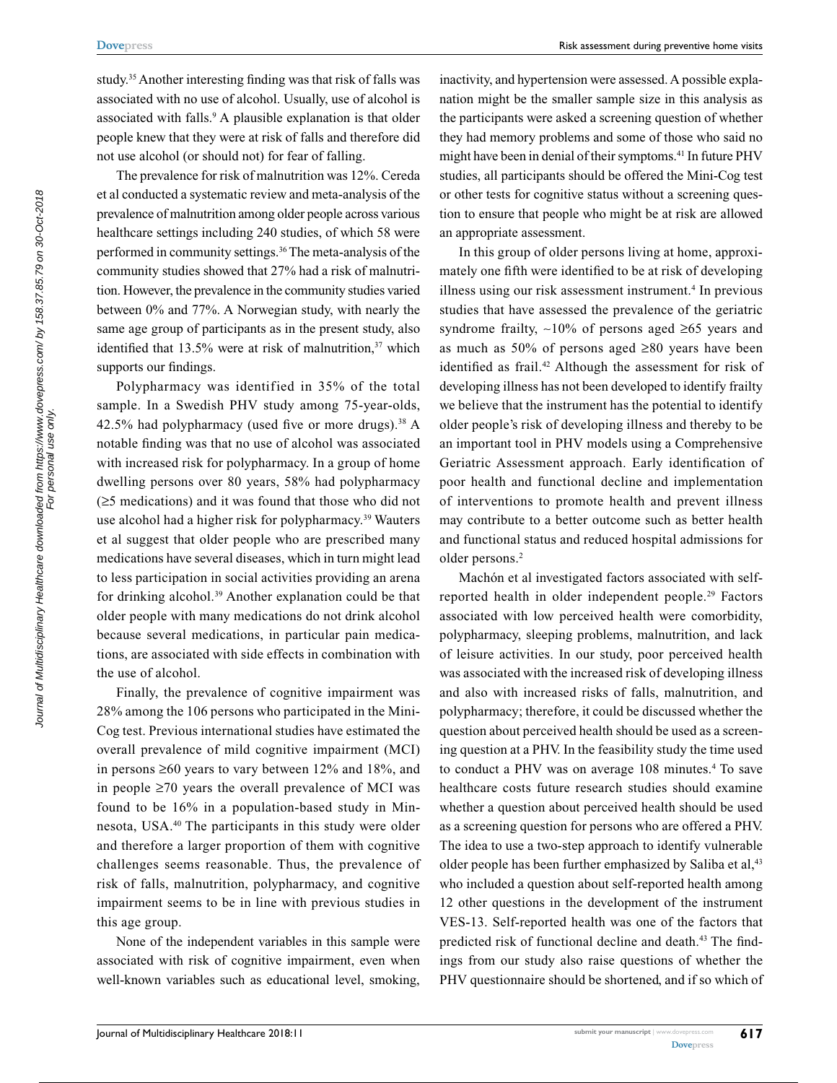study.35 Another interesting finding was that risk of falls was associated with no use of alcohol. Usually, use of alcohol is associated with falls.<sup>9</sup> A plausible explanation is that older people knew that they were at risk of falls and therefore did not use alcohol (or should not) for fear of falling.

The prevalence for risk of malnutrition was 12%. Cereda et al conducted a systematic review and meta-analysis of the prevalence of malnutrition among older people across various healthcare settings including 240 studies, of which 58 were performed in community settings.36 The meta-analysis of the community studies showed that 27% had a risk of malnutrition. However, the prevalence in the community studies varied between 0% and 77%. A Norwegian study, with nearly the same age group of participants as in the present study, also identified that  $13.5\%$  were at risk of malnutrition,<sup>37</sup> which supports our findings.

Polypharmacy was identified in 35% of the total sample. In a Swedish PHV study among 75-year-olds, 42.5% had polypharmacy (used five or more drugs).<sup>38</sup> A notable finding was that no use of alcohol was associated with increased risk for polypharmacy. In a group of home dwelling persons over 80 years, 58% had polypharmacy (≥5 medications) and it was found that those who did not use alcohol had a higher risk for polypharmacy.<sup>39</sup> Wauters et al suggest that older people who are prescribed many medications have several diseases, which in turn might lead to less participation in social activities providing an arena for drinking alcohol.39 Another explanation could be that older people with many medications do not drink alcohol because several medications, in particular pain medications, are associated with side effects in combination with the use of alcohol.

Finally, the prevalence of cognitive impairment was 28% among the 106 persons who participated in the Mini-Cog test. Previous international studies have estimated the overall prevalence of mild cognitive impairment (MCI) in persons ≥60 years to vary between 12% and 18%, and in people ≥70 years the overall prevalence of MCI was found to be 16% in a population-based study in Minnesota, USA.40 The participants in this study were older and therefore a larger proportion of them with cognitive challenges seems reasonable. Thus, the prevalence of risk of falls, malnutrition, polypharmacy, and cognitive impairment seems to be in line with previous studies in this age group.

None of the independent variables in this sample were associated with risk of cognitive impairment, even when well-known variables such as educational level, smoking, inactivity, and hypertension were assessed. A possible explanation might be the smaller sample size in this analysis as the participants were asked a screening question of whether they had memory problems and some of those who said no might have been in denial of their symptoms.<sup>41</sup> In future PHV studies, all participants should be offered the Mini-Cog test or other tests for cognitive status without a screening question to ensure that people who might be at risk are allowed an appropriate assessment.

In this group of older persons living at home, approximately one fifth were identified to be at risk of developing illness using our risk assessment instrument.<sup>4</sup> In previous studies that have assessed the prevalence of the geriatric syndrome frailty,  $\sim$ 10% of persons aged ≥65 years and as much as 50% of persons aged ≥80 years have been identified as frail.<sup>42</sup> Although the assessment for risk of developing illness has not been developed to identify frailty we believe that the instrument has the potential to identify older people's risk of developing illness and thereby to be an important tool in PHV models using a Comprehensive Geriatric Assessment approach. Early identification of poor health and functional decline and implementation of interventions to promote health and prevent illness may contribute to a better outcome such as better health and functional status and reduced hospital admissions for older persons.2

Machón et al investigated factors associated with selfreported health in older independent people.<sup>29</sup> Factors associated with low perceived health were comorbidity, polypharmacy, sleeping problems, malnutrition, and lack of leisure activities. In our study, poor perceived health was associated with the increased risk of developing illness and also with increased risks of falls, malnutrition, and polypharmacy; therefore, it could be discussed whether the question about perceived health should be used as a screening question at a PHV. In the feasibility study the time used to conduct a PHV was on average 108 minutes.<sup>4</sup> To save healthcare costs future research studies should examine whether a question about perceived health should be used as a screening question for persons who are offered a PHV. The idea to use a two-step approach to identify vulnerable older people has been further emphasized by Saliba et al,<sup>43</sup> who included a question about self-reported health among 12 other questions in the development of the instrument VES-13. Self-reported health was one of the factors that predicted risk of functional decline and death.<sup>43</sup> The findings from our study also raise questions of whether the PHV questionnaire should be shortened, and if so which of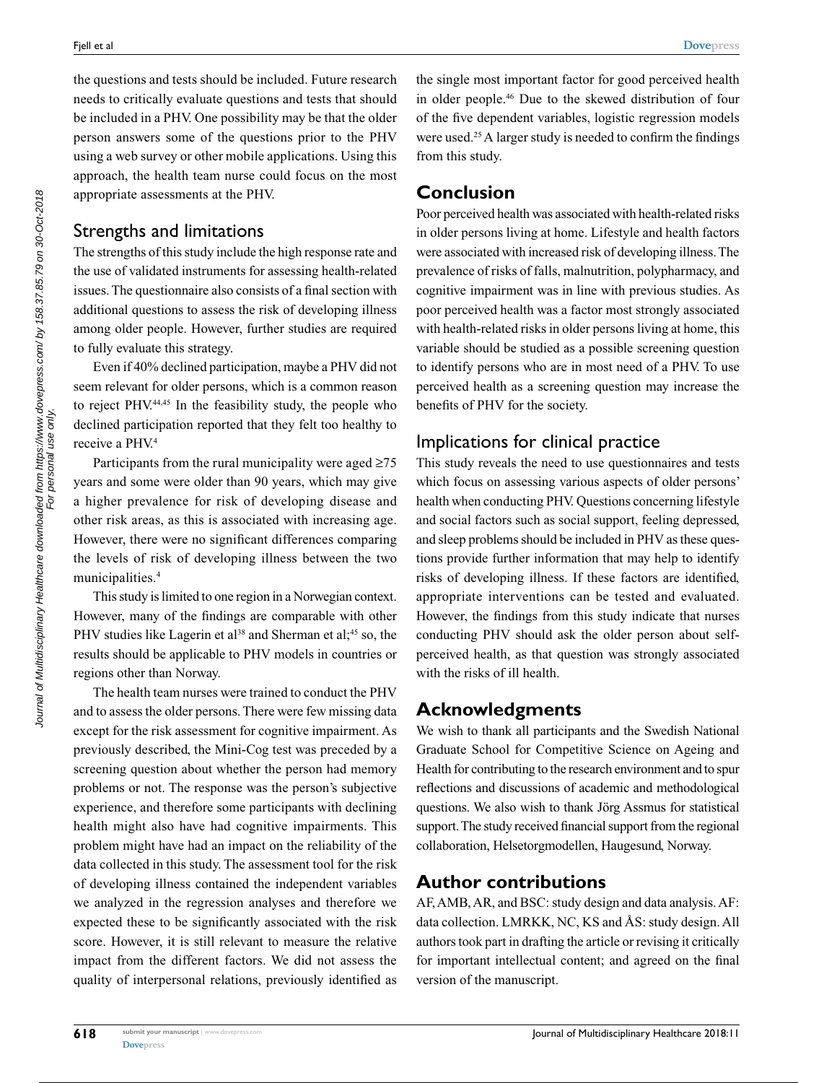the questions and tests should be included. Future research needs to critically evaluate questions and tests that should be included in a PHV. One possibility may be that the older person answers some of the questions prior to the PHV using a web survey or other mobile applications. Using this approach, the health team nurse could focus on the most appropriate assessments at the PHV.

## Strengths and limitations

The strengths of this study include the high response rate and the use of validated instruments for assessing health-related issues. The questionnaire also consists of a final section with additional questions to assess the risk of developing illness among older people. However, further studies are required to fully evaluate this strategy.

Even if 40% declined participation, maybe a PHV did not seem relevant for older persons, which is a common reason to reject PHV.44,45 In the feasibility study, the people who declined participation reported that they felt too healthy to receive a PHV.<sup>4</sup>

Participants from the rural municipality were aged  $\geq 75$ years and some were older than 90 years, which may give a higher prevalence for risk of developing disease and other risk areas, as this is associated with increasing age. However, there were no significant differences comparing the levels of risk of developing illness between the two municipalities.4

This study is limited to one region in a Norwegian context. However, many of the findings are comparable with other PHV studies like Lagerin et al<sup>38</sup> and Sherman et al;<sup>45</sup> so, the results should be applicable to PHV models in countries or regions other than Norway.

The health team nurses were trained to conduct the PHV and to assess the older persons. There were few missing data except for the risk assessment for cognitive impairment. As previously described, the Mini-Cog test was preceded by a screening question about whether the person had memory problems or not. The response was the person's subjective experience, and therefore some participants with declining health might also have had cognitive impairments. This problem might have had an impact on the reliability of the data collected in this study. The assessment tool for the risk of developing illness contained the independent variables we analyzed in the regression analyses and therefore we expected these to be significantly associated with the risk score. However, it is still relevant to measure the relative impact from the different factors. We did not assess the quality of interpersonal relations, previously identified as

the single most important factor for good perceived health in older people.46 Due to the skewed distribution of four of the five dependent variables, logistic regression models were used.<sup>25</sup> A larger study is needed to confirm the findings from this study.

# **Conclusion**

Poor perceived health was associated with health-related risks in older persons living at home. Lifestyle and health factors were associated with increased risk of developing illness. The prevalence of risks of falls, malnutrition, polypharmacy, and cognitive impairment was in line with previous studies. As poor perceived health was a factor most strongly associated with health-related risks in older persons living at home, this variable should be studied as a possible screening question to identify persons who are in most need of a PHV. To use perceived health as a screening question may increase the benefits of PHV for the society.

# Implications for clinical practice

This study reveals the need to use questionnaires and tests which focus on assessing various aspects of older persons' health when conducting PHV. Questions concerning lifestyle and social factors such as social support, feeling depressed, and sleep problems should be included in PHV as these questions provide further information that may help to identify risks of developing illness. If these factors are identified, appropriate interventions can be tested and evaluated. However, the findings from this study indicate that nurses conducting PHV should ask the older person about selfperceived health, as that question was strongly associated with the risks of ill health.

# **Acknowledgments**

We wish to thank all participants and the Swedish National Graduate School for Competitive Science on Ageing and Health for contributing to the research environment and to spur reflections and discussions of academic and methodological questions. We also wish to thank Jörg Assmus for statistical support. The study received financial support from the regional collaboration, Helsetorgmodellen, Haugesund, Norway.

# **Author contributions**

AF, AMB, AR, and BSC: study design and data analysis. AF: data collection. LMRKK, NC, KS and ÅS: study design. All authors took part in drafting the article or revising it critically for important intellectual content; and agreed on the final version of the manuscript.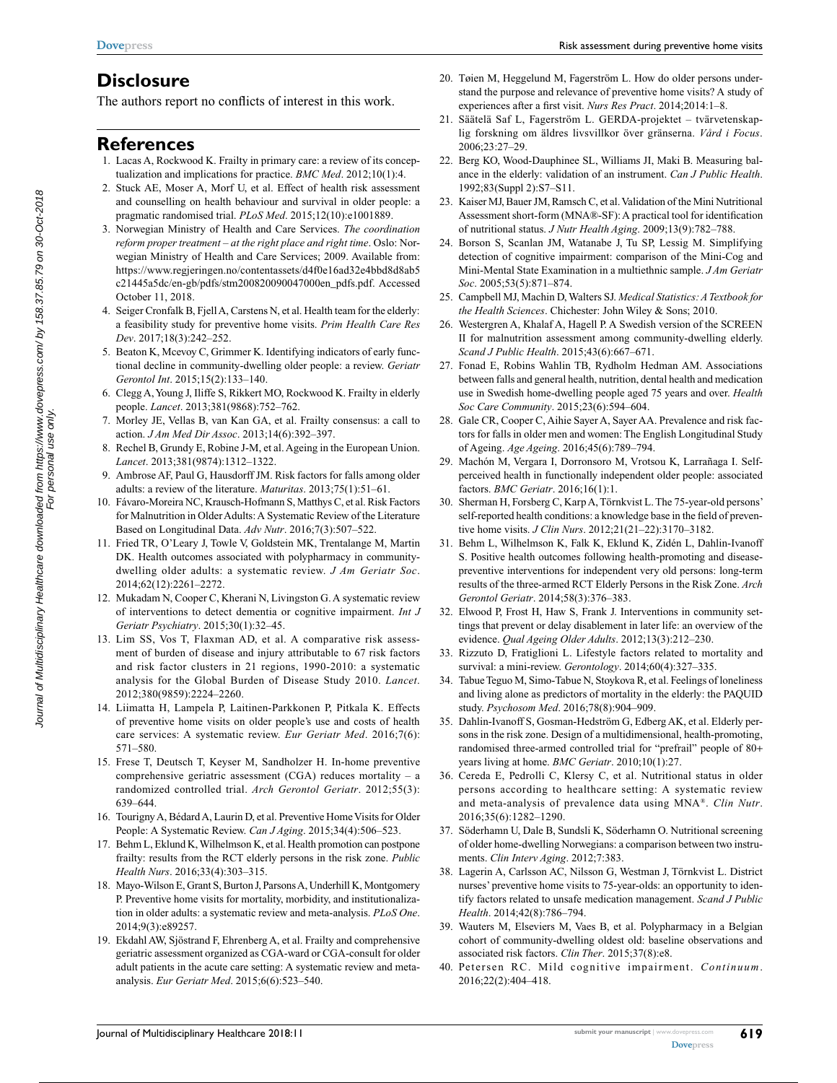## **Disclosure**

The authors report no conflicts of interest in this work.

## **References**

- 1. Lacas A, Rockwood K. Frailty in primary care: a review of its conceptualization and implications for practice. *BMC Med*. 2012;10(1):4.
- 2. Stuck AE, Moser A, Morf U, et al. Effect of health risk assessment and counselling on health behaviour and survival in older people: a pragmatic randomised trial. *PLoS Med*. 2015;12(10):e1001889.
- 3. Norwegian Ministry of Health and Care Services. *The coordination reform proper treatment – at the right place and right time.* Oslo: Norwegian Ministry of Health and Care Services; 2009. Available from: [https://www.regjeringen.no/contentassets/d4f0e16ad32e4bbd8d8ab5](https://www.regjeringen.no/contentassets/d4f0e16ad32e4bbd8d8ab5c21445a5dc/en-gb/pdfs/stm200820090047000en_pdfs.pdf) [c21445a5dc/en-gb/pdfs/stm200820090047000en\\_pdfs.pdf](https://www.regjeringen.no/contentassets/d4f0e16ad32e4bbd8d8ab5c21445a5dc/en-gb/pdfs/stm200820090047000en_pdfs.pdf). Accessed October 11, 2018.
- 4. Seiger Cronfalk B, Fjell A, Carstens N, et al. Health team for the elderly: a feasibility study for preventive home visits. *Prim Health Care Res Dev*. 2017;18(3):242–252.
- 5. Beaton K, Mcevoy C, Grimmer K. Identifying indicators of early functional decline in community-dwelling older people: a review. *Geriatr Gerontol Int*. 2015;15(2):133–140.
- 6. Clegg A, Young J, Iliffe S, Rikkert MO, Rockwood K. Frailty in elderly people. *Lancet*. 2013;381(9868):752–762.
- 7. Morley JE, Vellas B, van Kan GA, et al. Frailty consensus: a call to action. *J Am Med Dir Assoc*. 2013;14(6):392–397.
- 8. Rechel B, Grundy E, Robine J-M, et al. Ageing in the European Union. *Lancet*. 2013;381(9874):1312–1322.
- 9. Ambrose AF, Paul G, Hausdorff JM. Risk factors for falls among older adults: a review of the literature. *Maturitas*. 2013;75(1):51–61.
- 10. Fávaro-Moreira NC, Krausch-Hofmann S, Matthys C, et al. Risk Factors for Malnutrition in Older Adults: A Systematic Review of the Literature Based on Longitudinal Data. *Adv Nutr*. 2016;7(3):507–522.
- 11. Fried TR, O'Leary J, Towle V, Goldstein MK, Trentalange M, Martin DK. Health outcomes associated with polypharmacy in communitydwelling older adults: a systematic review. *J Am Geriatr Soc*. 2014;62(12):2261–2272.
- 12. Mukadam N, Cooper C, Kherani N, Livingston G. A systematic review of interventions to detect dementia or cognitive impairment. *Int J Geriatr Psychiatry*. 2015;30(1):32–45.
- 13. Lim SS, Vos T, Flaxman AD, et al. A comparative risk assessment of burden of disease and injury attributable to 67 risk factors and risk factor clusters in 21 regions, 1990-2010: a systematic analysis for the Global Burden of Disease Study 2010. *Lancet*. 2012;380(9859):2224–2260.
- 14. Liimatta H, Lampela P, Laitinen-Parkkonen P, Pitkala K. Effects of preventive home visits on older people's use and costs of health care services: A systematic review. *Eur Geriatr Med*. 2016;7(6): 571–580.
- 15. Frese T, Deutsch T, Keyser M, Sandholzer H. In-home preventive comprehensive geriatric assessment (CGA) reduces mortality – a randomized controlled trial. *Arch Gerontol Geriatr*. 2012;55(3): 639–644.
- 16. Tourigny A, Bédard A, Laurin D, et al. Preventive Home Visits for Older People: A Systematic Review. *Can J Aging*. 2015;34(4):506–523.
- 17. Behm L, Eklund K, Wilhelmson K, et al. Health promotion can postpone frailty: results from the RCT elderly persons in the risk zone. *Public Health Nurs*. 2016;33(4):303–315.
- 18. Mayo-Wilson E, Grant S, Burton J, Parsons A, Underhill K, Montgomery P. Preventive home visits for mortality, morbidity, and institutionalization in older adults: a systematic review and meta-analysis. *PLoS One*. 2014;9(3):e89257.
- 19. Ekdahl AW, Sjöstrand F, Ehrenberg A, et al. Frailty and comprehensive geriatric assessment organized as CGA-ward or CGA-consult for older adult patients in the acute care setting: A systematic review and metaanalysis. *Eur Geriatr Med*. 2015;6(6):523–540.
- 20. Tøien M, Heggelund M, Fagerström L. How do older persons understand the purpose and relevance of preventive home visits? A study of experiences after a first visit. *Nurs Res Pract*. 2014;2014:1–8.
- 21. Säätelä Saf L, Fagerström L. GERDA-projektet tvärvetenskaplig forskning om äldres livsvillkor över gränserna. *Vård i Focus*. 2006;23:27–29.
- 22. Berg KO, Wood-Dauphinee SL, Williams JI, Maki B. Measuring balance in the elderly: validation of an instrument. *Can J Public Health*. 1992;83(Suppl 2):S7–S11.
- 23. Kaiser MJ, Bauer JM, Ramsch C, et al. Validation of the Mini Nutritional Assessment short-form (MNA®-SF): A practical tool for identification of nutritional status. *J Nutr Health Aging*. 2009;13(9):782–788.
- 24. Borson S, Scanlan JM, Watanabe J, Tu SP, Lessig M. Simplifying detection of cognitive impairment: comparison of the Mini-Cog and Mini-Mental State Examination in a multiethnic sample. *J Am Geriatr Soc*. 2005;53(5):871–874.
- 25. Campbell MJ, Machin D, Walters SJ. *Medical Statistics: A Textbook for the Health Sciences*. Chichester: John Wiley & Sons; 2010.
- Westergren A, Khalaf A, Hagell P. A Swedish version of the SCREEN II for malnutrition assessment among community-dwelling elderly. *Scand J Public Health*. 2015;43(6):667–671.
- 27. Fonad E, Robins Wahlin TB, Rydholm Hedman AM. Associations between falls and general health, nutrition, dental health and medication use in Swedish home-dwelling people aged 75 years and over. *Health Soc Care Community*. 2015;23(6):594–604.
- 28. Gale CR, Cooper C, Aihie Sayer A, Sayer AA. Prevalence and risk factors for falls in older men and women: The English Longitudinal Study of Ageing. *Age Ageing*. 2016;45(6):789–794.
- 29. Machón M, Vergara I, Dorronsoro M, Vrotsou K, Larrañaga I. Selfperceived health in functionally independent older people: associated factors. *BMC Geriatr*. 2016;16(1):1.
- 30. Sherman H, Forsberg C, Karp A, Törnkvist L. The 75-year-old persons' self-reported health conditions: a knowledge base in the field of preventive home visits. *J Clin Nurs*. 2012;21(21–22):3170–3182.
- 31. Behm L, Wilhelmson K, Falk K, Eklund K, Zidén L, Dahlin-Ivanoff S. Positive health outcomes following health-promoting and diseasepreventive interventions for independent very old persons: long-term results of the three-armed RCT Elderly Persons in the Risk Zone. *Arch Gerontol Geriatr*. 2014;58(3):376–383.
- 32. Elwood P, Frost H, Haw S, Frank J. Interventions in community settings that prevent or delay disablement in later life: an overview of the evidence. *Qual Ageing Older Adults*. 2012;13(3):212–230.
- 33. Rizzuto D, Fratiglioni L. Lifestyle factors related to mortality and survival: a mini-review. *Gerontology*. 2014;60(4):327–335.
- 34. Tabue Teguo M, Simo-Tabue N, Stoykova R, et al. Feelings of loneliness and living alone as predictors of mortality in the elderly: the PAQUID study. *Psychosom Med*. 2016;78(8):904–909.
- 35. Dahlin-Ivanoff S, Gosman-Hedström G, Edberg AK, et al. Elderly persons in the risk zone. Design of a multidimensional, health-promoting, randomised three-armed controlled trial for "prefrail" people of 80+ years living at home. *BMC Geriatr*. 2010;10(1):27.
- 36. Cereda E, Pedrolli C, Klersy C, et al. Nutritional status in older persons according to healthcare setting: A systematic review and meta-analysis of prevalence data using MNA®. *Clin Nutr*. 2016;35(6):1282–1290.
- 37. Söderhamn U, Dale B, Sundsli K, Söderhamn O. Nutritional screening of older home-dwelling Norwegians: a comparison between two instruments. *Clin Interv Aging*. 2012;7:383.
- 38. Lagerin A, Carlsson AC, Nilsson G, Westman J, Törnkvist L. District nurses' preventive home visits to 75-year-olds: an opportunity to identify factors related to unsafe medication management. *Scand J Public Health*. 2014;42(8):786–794.
- 39. Wauters M, Elseviers M, Vaes B, et al. Polypharmacy in a Belgian cohort of community-dwelling oldest old: baseline observations and associated risk factors. *Clin Ther*. 2015;37(8):e8.
- 40. Petersen RC. Mild cognitive impairment. *Continuum*. 2016;22(2):404–418.